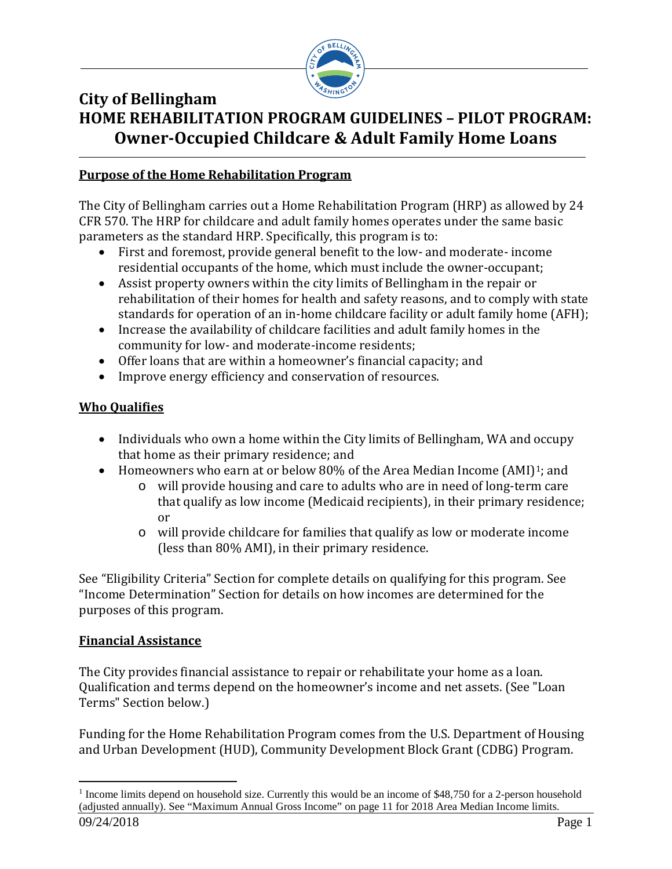

# **City of Bellingham HOME REHABILITATION PROGRAM GUIDELINES – PILOT PROGRAM: Owner-Occupied Childcare & Adult Family Home Loans**

## **Purpose of the Home Rehabilitation Program**

The City of Bellingham carries out a Home Rehabilitation Program (HRP) as allowed by 24 CFR 570. The HRP for childcare and adult family homes operates under the same basic parameters as the standard HRP. Specifically, this program is to:

- First and foremost, provide general benefit to the low- and moderate- income residential occupants of the home, which must include the owner-occupant;
- Assist property owners within the city limits of Bellingham in the repair or rehabilitation of their homes for health and safety reasons, and to comply with state standards for operation of an in-home childcare facility or adult family home (AFH);
- Increase the availability of childcare facilities and adult family homes in the community for low- and moderate-income residents;
- Offer loans that are within a homeowner's financial capacity; and
- Improve energy efficiency and conservation of resources.

# **Who Qualifies**

- Individuals who own a home within the City limits of Bellingham, WA and occupy that home as their primary residence; and
- Homeowners who earn at or below 80% of the Area Median Income (AMI)<sup>1</sup>; and
	- o will provide housing and care to adults who are in need of long-term care that qualify as low income (Medicaid recipients), in their primary residence; or
	- o will provide childcare for families that qualify as low or moderate income (less than 80% AMI), in their primary residence.

See "Eligibility Criteria" Section for complete details on qualifying for this program. See "Income Determination" Section for details on how incomes are determined for the purposes of this program.

# **Financial Assistance**

The City provides financial assistance to repair or rehabilitate your home as a loan. Qualification and terms depend on the homeowner's income and net assets. (See "Loan Terms" Section below.)

Funding for the Home Rehabilitation Program comes from the U.S. Department of Housing and Urban Development (HUD), Community Development Block Grant (CDBG) Program.

<span id="page-0-0"></span><sup>09/24/2018</sup> Page 1 <sup>1</sup> Income limits depend on household size. Currently this would be an income of \$48,750 for a 2-person household (adjusted annually). See "Maximum Annual Gross Income" on page 11 for 2018 Area Median Income limits.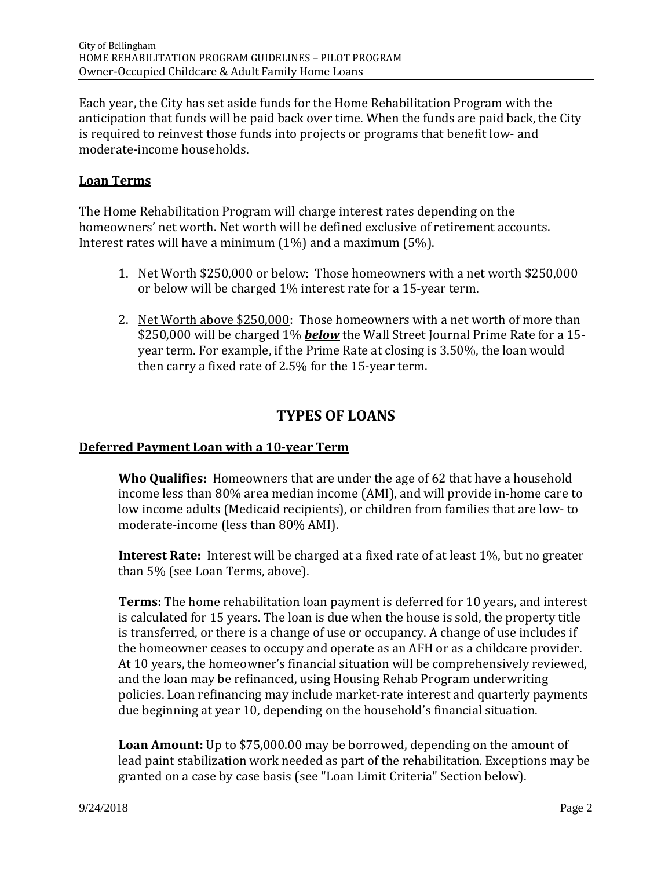Each year, the City has set aside funds for the Home Rehabilitation Program with the anticipation that funds will be paid back over time. When the funds are paid back, the City is required to reinvest those funds into projects or programs that benefit low- and moderate-income households.

### **Loan Terms**

The Home Rehabilitation Program will charge interest rates depending on the homeowners' net worth. Net worth will be defined exclusive of retirement accounts. Interest rates will have a minimum (1%) and a maximum (5%).

- 1. Net Worth \$250,000 or below: Those homeowners with a net worth \$250,000 or below will be charged 1% interest rate for a 15-year term.
- 2. Net Worth above \$250,000: Those homeowners with a net worth of more than \$250,000 will be charged 1% *below* the Wall Street Journal Prime Rate for a 15 year term. For example, if the Prime Rate at closing is 3.50%, the loan would then carry a fixed rate of 2.5% for the 15-year term.

# **TYPES OF LOANS**

# **Deferred Payment Loan with a 10-year Term**

**Who Qualifies:** Homeowners that are under the age of 62 that have a household income less than 80% area median income (AMI), and will provide in-home care to low income adults (Medicaid recipients), or children from families that are low- to moderate-income (less than 80% AMI).

**Interest Rate:** Interest will be charged at a fixed rate of at least 1%, but no greater than 5% (see Loan Terms, above).

**Terms:** The home rehabilitation loan payment is deferred for 10 years, and interest is calculated for 15 years. The loan is due when the house is sold, the property title is transferred, or there is a change of use or occupancy. A change of use includes if the homeowner ceases to occupy and operate as an AFH or as a childcare provider. At 10 years, the homeowner's financial situation will be comprehensively reviewed, and the loan may be refinanced, using Housing Rehab Program underwriting policies. Loan refinancing may include market-rate interest and quarterly payments due beginning at year 10, depending on the household's financial situation.

**Loan Amount:** Up to \$75,000.00 may be borrowed, depending on the amount of lead paint stabilization work needed as part of the rehabilitation. Exceptions may be granted on a case by case basis (see "Loan Limit Criteria" Section below).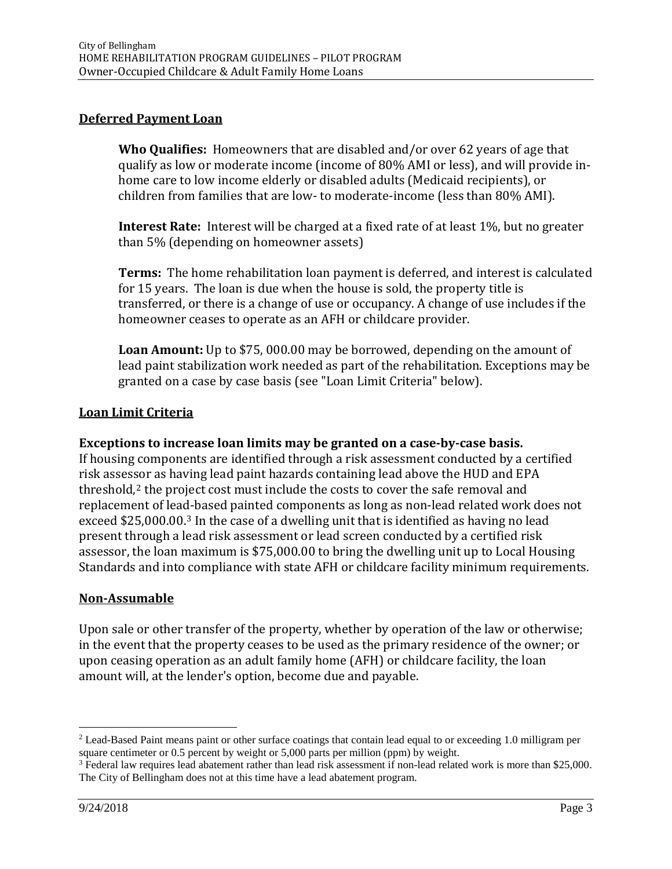#### **Deferred Payment Loan**

**Who Qualifies:** Homeowners that are disabled and/or over 62 years of age that qualify as low or moderate income (income of 80% AMI or less), and will provide inhome care to low income elderly or disabled adults (Medicaid recipients), or children from families that are low- to moderate-income (less than 80% AMI).

**Interest Rate:** Interest will be charged at a fixed rate of at least 1%, but no greater than 5% (depending on homeowner assets)

**Terms:** The home rehabilitation loan payment is deferred, and interest is calculated for 15 years. The loan is due when the house is sold, the property title is transferred, or there is a change of use or occupancy. A change of use includes if the homeowner ceases to operate as an AFH or childcare provider.

**Loan Amount:** Up to \$75, 000.00 may be borrowed, depending on the amount of lead paint stabilization work needed as part of the rehabilitation. Exceptions may be granted on a case by case basis (see "Loan Limit Criteria" below).

#### **Loan Limit Criteria**

#### **Exceptions to increase loan limits may be granted on a case-by-case basis.**

If housing components are identified through a risk assessment conducted by a certified risk assessor as having lead paint hazards containing lead above the HUD and EPA threshold, $2$  the project cost must include the costs to cover the safe removal and replacement of lead-based painted components as long as non-lead related work does not exceed \$25,000.00.[3](#page-2-1) In the case of a dwelling unit that is identified as having no lead present through a lead risk assessment or lead screen conducted by a certified risk assessor, the loan maximum is \$75,000.00 to bring the dwelling unit up to Local Housing Standards and into compliance with state AFH or childcare facility minimum requirements.

#### **Non-Assumable**

Upon sale or other transfer of the property, whether by operation of the law or otherwise; in the event that the property ceases to be used as the primary residence of the owner; or upon ceasing operation as an adult family home (AFH) or childcare facility, the loan amount will, at the lender's option, become due and payable.

<span id="page-2-0"></span> <sup>2</sup> Lead-Based Paint means paint or other surface coatings that contain lead equal to or exceeding 1.0 milligram per square centimeter or 0.5 percent by weight or 5,000 parts per million (ppm) by weight.

<span id="page-2-1"></span><sup>&</sup>lt;sup>3</sup> Federal law requires lead abatement rather than lead risk assessment if non-lead related work is more than \$25,000. The City of Bellingham does not at this time have a lead abatement program.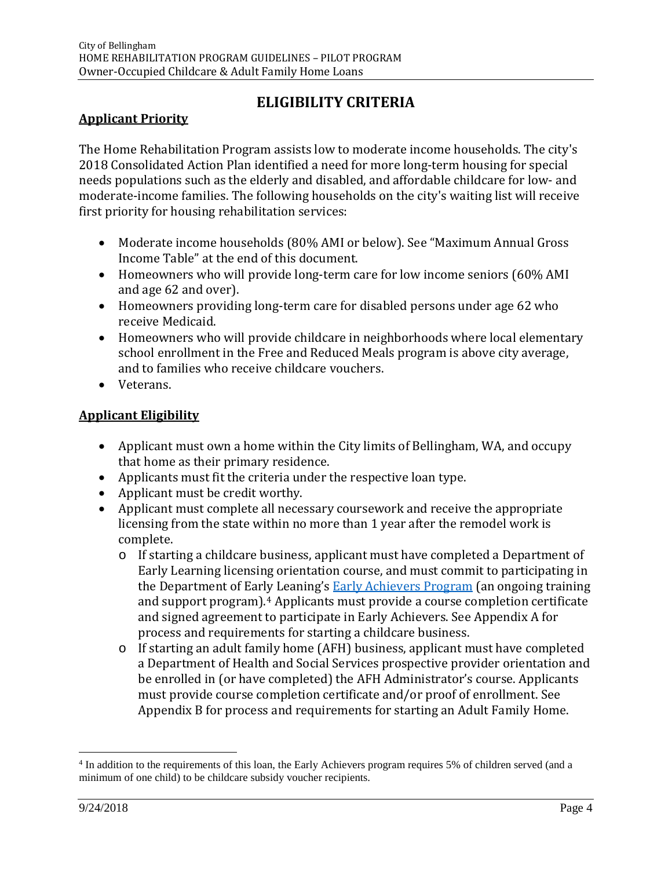# **ELIGIBILITY CRITERIA**

# **Applicant Priority**

The Home Rehabilitation Program assists low to moderate income households. The city's 2018 Consolidated Action Plan identified a need for more long-term housing for special needs populations such as the elderly and disabled, and affordable childcare for low- and moderate-income families. The following households on the city's waiting list will receive first priority for housing rehabilitation services:

- Moderate income households (80% AMI or below). See "Maximum Annual Gross Income Table" at the end of this document.
- Homeowners who will provide long-term care for low income seniors (60% AMI and age 62 and over).
- Homeowners providing long-term care for disabled persons under age 62 who receive Medicaid.
- Homeowners who will provide childcare in neighborhoods where local elementary school enrollment in the Free and Reduced Meals program is above city average, and to families who receive childcare vouchers.
- Veterans.

# **Applicant Eligibility**

- Applicant must own a home within the City limits of Bellingham, WA, and occupy that home as their primary residence.
- Applicants must fit the criteria under the respective loan type.
- Applicant must be credit worthy.
- Applicant must complete all necessary coursework and receive the appropriate licensing from the state within no more than 1 year after the remodel work is complete.
	- o If starting a childcare business, applicant must have completed a Department of Early Learning licensing orientation course, and must commit to participating in the Department of Early Leaning's **Early Achievers Program** (an ongoing training and support program).[4](#page-3-0) Applicants must provide a course completion certificate and signed agreement to participate in Early Achievers. See Appendix A for process and requirements for starting a childcare business.
	- o If starting an adult family home (AFH) business, applicant must have completed a Department of Health and Social Services prospective provider orientation and be enrolled in (or have completed) the AFH Administrator's course. Applicants must provide course completion certificate and/or proof of enrollment. See Appendix B for process and requirements for starting an Adult Family Home.

<span id="page-3-0"></span> <sup>4</sup> In addition to the requirements of this loan, the Early Achievers program requires 5% of children served (and a minimum of one child) to be childcare subsidy voucher recipients.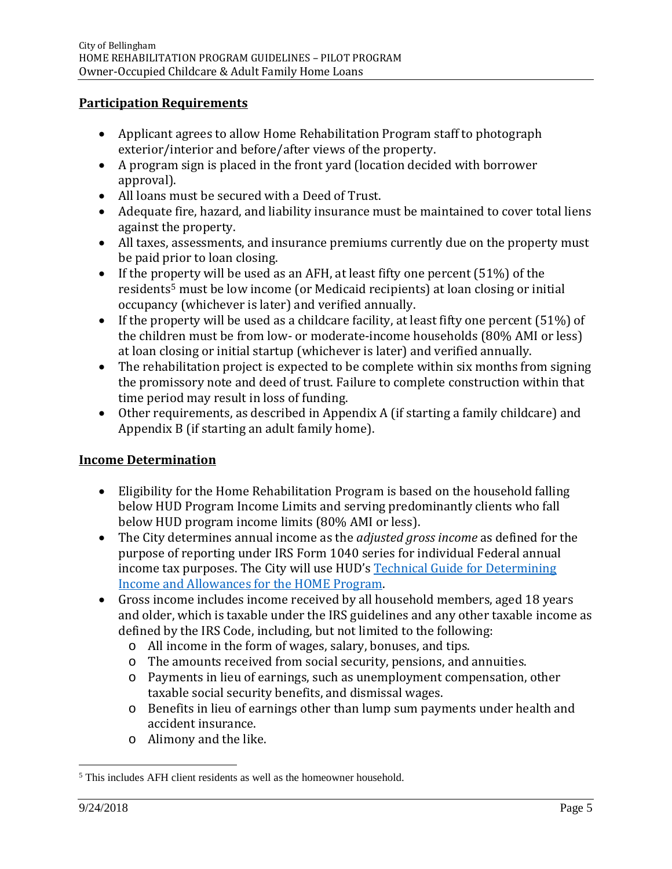#### **Participation Requirements**

- Applicant agrees to allow Home Rehabilitation Program staff to photograph exterior/interior and before/after views of the property.
- A program sign is placed in the front yard (location decided with borrower approval).
- All loans must be secured with a Deed of Trust.
- Adequate fire, hazard, and liability insurance must be maintained to cover total liens against the property.
- All taxes, assessments, and insurance premiums currently due on the property must be paid prior to loan closing.
- If the property will be used as an AFH, at least fifty one percent (51%) of the residents[5](#page-4-0) must be low income (or Medicaid recipients) at loan closing or initial occupancy (whichever is later) and verified annually.
- If the property will be used as a childcare facility, at least fifty one percent (51%) of the children must be from low- or moderate-income households (80% AMI or less) at loan closing or initial startup (whichever is later) and verified annually.
- The rehabilitation project is expected to be complete within six months from signing the promissory note and deed of trust. Failure to complete construction within that time period may result in loss of funding.
- Other requirements, as described in Appendix A (if starting a family childcare) and Appendix B (if starting an adult family home).

# **Income Determination**

- Eligibility for the Home Rehabilitation Program is based on the household falling below HUD Program Income Limits and serving predominantly clients who fall below HUD program income limits (80% AMI or less).
- The City determines annual income as the *adjusted gross income* as defined for the purpose of reporting under IRS Form 1040 series for individual Federal annual income tax purposes. The City will use HUD's [Technical Guide for Determining](https://www.hudexchange.info/resource/786/technical-guide-for-determining-income-and-allowances-for-the-home-program/)  [Income and Allowances for the HOME Program.](https://www.hudexchange.info/resource/786/technical-guide-for-determining-income-and-allowances-for-the-home-program/)
- Gross income includes income received by all household members, aged 18 years and older, which is taxable under the IRS guidelines and any other taxable income as defined by the IRS Code, including, but not limited to the following:
	- o All income in the form of wages, salary, bonuses, and tips.
	- o The amounts received from social security, pensions, and annuities.
	- o Payments in lieu of earnings, such as unemployment compensation, other taxable social security benefits, and dismissal wages.
	- o Benefits in lieu of earnings other than lump sum payments under health and accident insurance.
	- o Alimony and the like.

<span id="page-4-0"></span> <sup>5</sup> This includes AFH client residents as well as the homeowner household.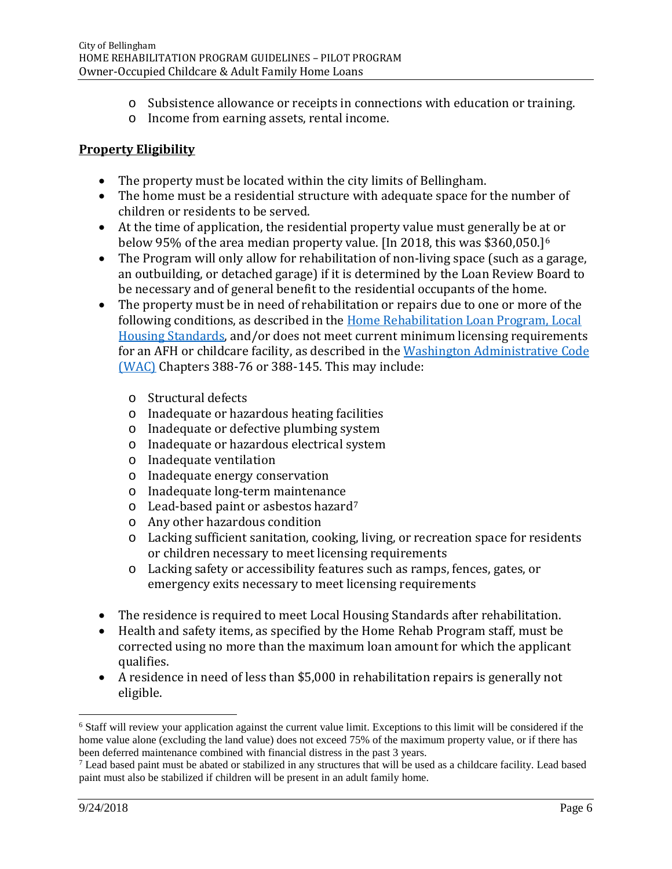- o Subsistence allowance or receipts in connections with education or training.
- o Income from earning assets, rental income.

# **Property Eligibility**

- The property must be located within the city limits of Bellingham.
- The home must be a residential structure with adequate space for the number of children or residents to be served.
- At the time of application, the residential property value must generally be [at](#page-5-0) or below 95% of the area median property value. [In 2018, this was \$360,050.]6
- The Program will only allow for rehabilitation of non-living space (such as a garage, an outbuilding, or detached garage) if it is determined by the Loan Review Board to be necessary and of general benefit to the residential occupants of the home.
- The property must be in need of rehabilitation or repairs due to one or more of the following conditions, as described in the Home Rehabilitation [Loan Program,](http://cob.org/hrp) Local [Housing Standards,](http://cob.org/hrp) and/or does not meet current minimum licensing requirements for an AFH or childcare facility, as described in the [Washington Administrative Code](http://apps.leg.wa.gov/wac/default.aspx?cite=388)  [\(WAC\)](http://apps.leg.wa.gov/wac/default.aspx?cite=388) Chapters 388-76 or 388-145. This may include:
	- o Structural defects
	- o Inadequate or hazardous heating facilities
	- o Inadequate or defective plumbing system
	- o Inadequate or hazardous electrical system
	- o Inadequate ventilation
	- o Inadequate energy conservation
	- o Inadequate long-term maintenance
	- o Lead-based paint or asbestos hazard[7](#page-5-1)
	- o Any other hazardous condition
	- o Lacking sufficient sanitation, cooking, living, or recreation space for residents or children necessary to meet licensing requirements
	- o Lacking safety or accessibility features such as ramps, fences, gates, or emergency exits necessary to meet licensing requirements
- The residence is required to meet Local Housing Standards after rehabilitation.
- Health and safety items, as specified by the Home Rehab Program staff, must be corrected using no more than the maximum loan amount for which the applicant qualifies.
- A residence in need of less than \$5,000 in rehabilitation repairs is generally not eligible.

<span id="page-5-0"></span> <sup>6</sup> Staff will review your application against the current value limit. Exceptions to this limit will be considered if the home value alone (excluding the land value) does not exceed 75% of the maximum property value, or if there has been deferred maintenance combined with financial distress in the past 3 years.

<span id="page-5-1"></span><sup>7</sup> Lead based paint must be abated or stabilized in any structures that will be used as a childcare facility. Lead based paint must also be stabilized if children will be present in an adult family home.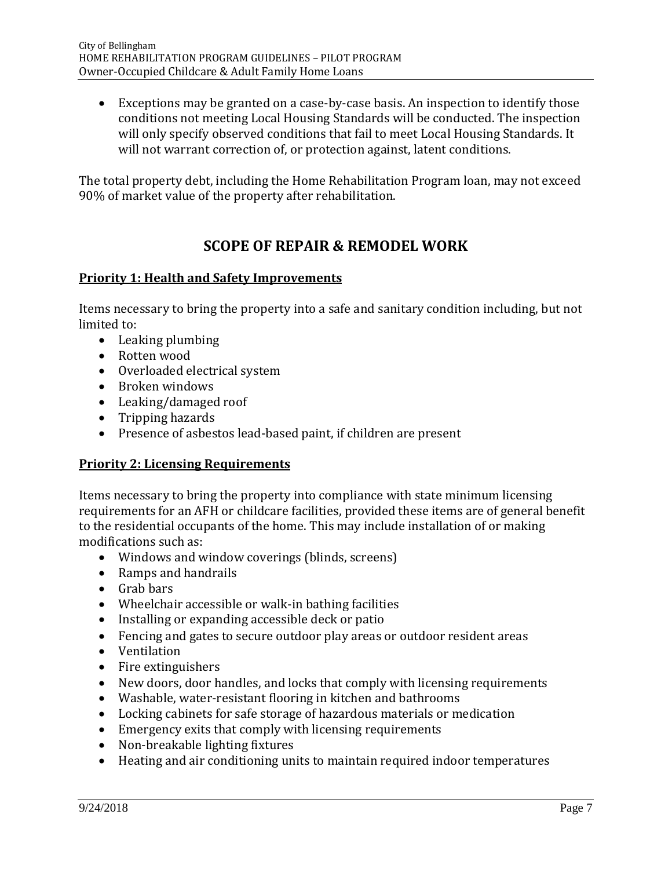• Exceptions may be granted on a case-by-case basis. An inspection to identify those conditions not meeting Local Housing Standards will be conducted. The inspection will only specify observed conditions that fail to meet Local Housing Standards. It will not warrant correction of, or protection against, latent conditions.

The total property debt, including the Home Rehabilitation Program loan, may not exceed 90% of market value of the property after rehabilitation.

# **SCOPE OF REPAIR & REMODEL WORK**

### **Priority 1: Health and Safety Improvements**

Items necessary to bring the property into a safe and sanitary condition including, but not limited to:

- Leaking plumbing
- Rotten wood
- Overloaded electrical system
- Broken windows
- Leaking/damaged roof
- Tripping hazards
- Presence of asbestos lead-based paint, if children are present

#### **Priority 2: Licensing Requirements**

Items necessary to bring the property into compliance with state minimum licensing requirements for an AFH or childcare facilities, provided these items are of general benefit to the residential occupants of the home. This may include installation of or making modifications such as:

- Windows and window coverings (blinds, screens)
- Ramps and handrails
- Grab bars
- Wheelchair accessible or walk-in bathing facilities
- Installing or expanding accessible deck or patio
- Fencing and gates to secure outdoor play areas or outdoor resident areas
- Ventilation
- Fire extinguishers
- New doors, door handles, and locks that comply with licensing requirements
- Washable, water-resistant flooring in kitchen and bathrooms
- Locking cabinets for safe storage of hazardous materials or medication
- Emergency exits that comply with licensing requirements
- Non-breakable lighting fixtures
- Heating and air conditioning units to maintain required indoor temperatures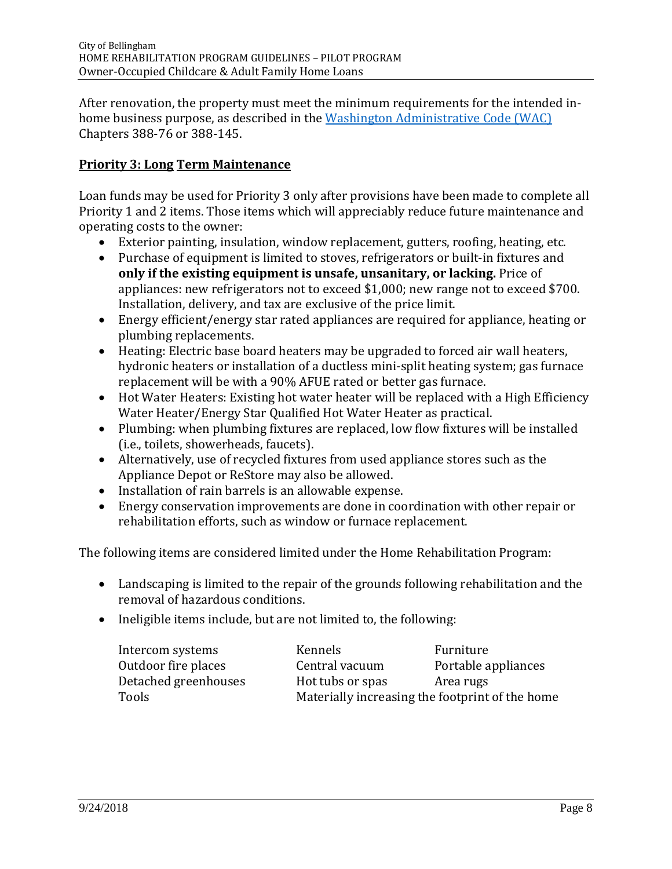After renovation, the property must meet the minimum requirements for the intended inhome business purpose, as described in the [Washington Administrative Code \(WAC\)](http://apps.leg.wa.gov/wac/default.aspx?cite=388) Chapters 388-76 or 388-145.

### **Priority 3: Long Term Maintenance**

Loan funds may be used for Priority 3 only after provisions have been made to complete all Priority 1 and 2 items. Those items which will appreciably reduce future maintenance and operating costs to the owner:

- Exterior painting, insulation, window replacement, gutters, roofing, heating, etc.
- Purchase of equipment is limited to stoves, refrigerators or built-in fixtures and **only if the existing equipment is unsafe, unsanitary, or lacking.** Price of appliances: new refrigerators not to exceed \$1,000; new range not to exceed \$700. Installation, delivery, and tax are exclusive of the price limit.
- Energy efficient/energy star rated appliances are required for appliance, heating or plumbing replacements.
- Heating: Electric base board heaters may be upgraded to forced air wall heaters, hydronic heaters or installation of a ductless mini-split heating system; gas furnace replacement will be with a 90% AFUE rated or better gas furnace.
- Hot Water Heaters: Existing hot water heater will be replaced with a High Efficiency Water Heater/Energy Star Qualified Hot Water Heater as practical.
- Plumbing: when plumbing fixtures are replaced, low flow fixtures will be installed (i.e., toilets, showerheads, faucets).
- Alternatively, use of recycled fixtures from used appliance stores such as the Appliance Depot or ReStore may also be allowed.
- Installation of rain barrels is an allowable expense.
- Energy conservation improvements are done in coordination with other repair or rehabilitation efforts, such as window or furnace replacement.

The following items are considered limited under the Home Rehabilitation Program:

- Landscaping is limited to the repair of the grounds following rehabilitation and the removal of hazardous conditions.
- Ineligible items include, but are not limited to, the following:

| Intercom systems     | Kennels                                         | Furniture           |
|----------------------|-------------------------------------------------|---------------------|
| Outdoor fire places  | Central vacuum                                  | Portable appliances |
| Detached greenhouses | Hot tubs or spas                                | Area rugs           |
| Tools                | Materially increasing the footprint of the home |                     |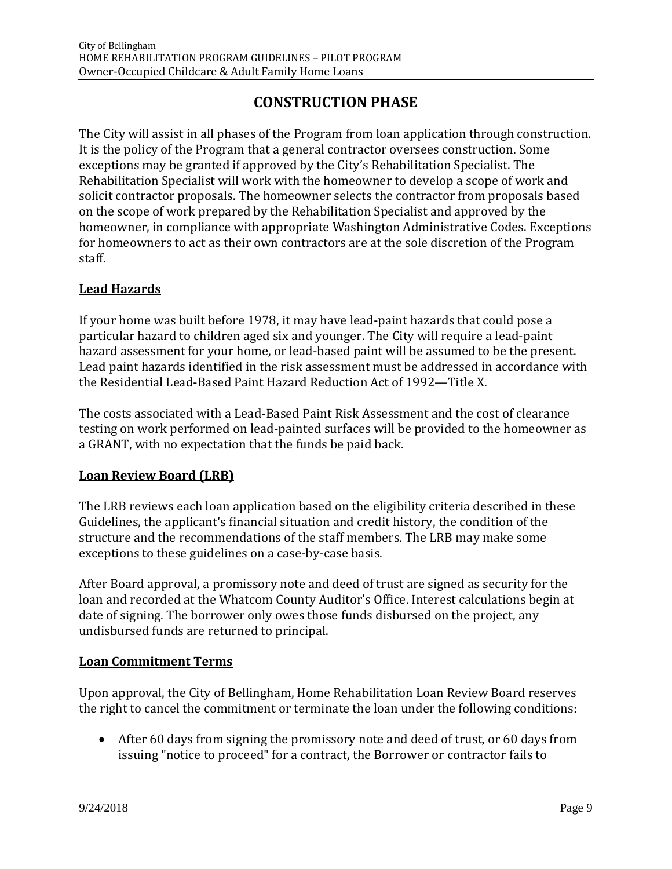# **CONSTRUCTION PHASE**

The City will assist in all phases of the Program from loan application through construction. It is the policy of the Program that a general contractor oversees construction. Some exceptions may be granted if approved by the City's Rehabilitation Specialist. The Rehabilitation Specialist will work with the homeowner to develop a scope of work and solicit contractor proposals. The homeowner selects the contractor from proposals based on the scope of work prepared by the Rehabilitation Specialist and approved by the homeowner, in compliance with appropriate Washington Administrative Codes. Exceptions for homeowners to act as their own contractors are at the sole discretion of the Program staff.

### **Lead Hazards**

If your home was built before 1978, it may have lead-paint hazards that could pose a particular hazard to children aged six and younger. The City will require a lead-paint hazard assessment for your home, or lead-based paint will be assumed to be the present. Lead paint hazards identified in the risk assessment must be addressed in accordance with the Residential Lead-Based Paint Hazard Reduction Act of 1992—Title X.

The costs associated with a Lead-Based Paint Risk Assessment and the cost of clearance testing on work performed on lead-painted surfaces will be provided to the homeowner as a GRANT, with no expectation that the funds be paid back.

#### **Loan Review Board (LRB)**

The LRB reviews each loan application based on the eligibility criteria described in these Guidelines, the applicant's financial situation and credit history, the condition of the structure and the recommendations of the staff members. The LRB may make some exceptions to these guidelines on a case-by-case basis.

After Board approval, a promissory note and deed of trust are signed as security for the loan and recorded at the Whatcom County Auditor's Office. Interest calculations begin at date of signing. The borrower only owes those funds disbursed on the project, any undisbursed funds are returned to principal.

#### **Loan Commitment Terms**

Upon approval, the City of Bellingham, Home Rehabilitation Loan Review Board reserves the right to cancel the commitment or terminate the loan under the following conditions:

• After 60 days from signing the promissory note and deed of trust, or 60 days from issuing "notice to proceed" for a contract, the Borrower or contractor fails to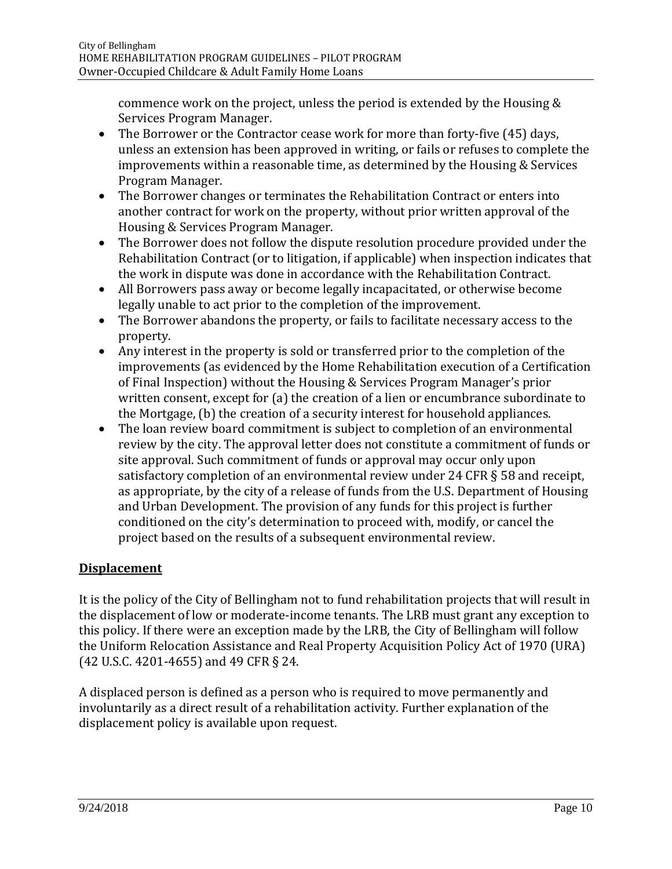commence work on the project, unless the period is extended by the Housing & Services Program Manager.

- The Borrower or the Contractor cease work for more than forty-five (45) days, unless an extension has been approved in writing, or fails or refuses to complete the improvements within a reasonable time, as determined by the Housing & Services Program Manager.
- The Borrower changes or terminates the Rehabilitation Contract or enters into another contract for work on the property, without prior written approval of the Housing & Services Program Manager.
- The Borrower does not follow the dispute resolution procedure provided under the Rehabilitation Contract (or to litigation, if applicable) when inspection indicates that the work in dispute was done in accordance with the Rehabilitation Contract.
- All Borrowers pass away or become legally incapacitated, or otherwise become legally unable to act prior to the completion of the improvement.
- The Borrower abandons the property, or fails to facilitate necessary access to the property.
- Any interest in the property is sold or transferred prior to the completion of the improvements (as evidenced by the Home Rehabilitation execution of a Certification of Final Inspection) without the Housing & Services Program Manager's prior written consent, except for (a) the creation of a lien or encumbrance subordinate to the Mortgage, (b) the creation of a security interest for household appliances.
- The loan review board commitment is subject to completion of an environmental review by the city. The approval letter does not constitute a commitment of funds or site approval. Such commitment of funds or approval may occur only upon satisfactory completion of an environmental review under 24 CFR § 58 and receipt, as appropriate, by the city of a release of funds from the U.S. Department of Housing and Urban Development. The provision of any funds for this project is further conditioned on the city's determination to proceed with, modify, or cancel the project based on the results of a subsequent environmental review.

# **Displacement**

It is the policy of the City of Bellingham not to fund rehabilitation projects that will result in the displacement of low or moderate-income tenants. The LRB must grant any exception to this policy. If there were an exception made by the LRB, the City of Bellingham will follow the Uniform Relocation Assistance and Real Property Acquisition Policy Act of 1970 (URA) (42 U.S.C. 4201-4655) and 49 CFR § 24.

A displaced person is defined as a person who is required to move permanently and involuntarily as a direct result of a rehabilitation activity. Further explanation of the displacement policy is available upon request.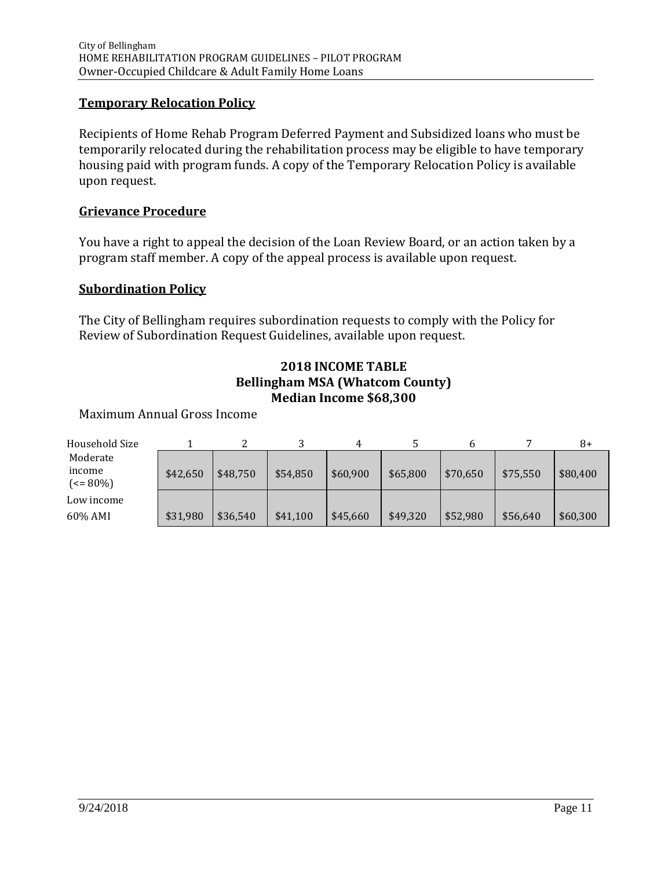#### **Temporary Relocation Policy**

Recipients of Home Rehab Program Deferred Payment and Subsidized loans who must be temporarily relocated during the rehabilitation process may be eligible to have temporary housing paid with program funds. A copy of the Temporary Relocation Policy is available upon request.

#### **Grievance Procedure**

You have a right to appeal the decision of the Loan Review Board, or an action taken by a program staff member. A copy of the appeal process is available upon request.

#### **Subordination Policy**

The City of Bellingham requires subordination requests to comply with the Policy for Review of Subordination Request Guidelines, available upon request.

#### **2018 INCOME TABLE Bellingham MSA (Whatcom County) Median Income \$68,300**

#### Maximum Annual Gross Income

| Household Size                      |          |          |          |          |          |          |          | 8+       |
|-------------------------------------|----------|----------|----------|----------|----------|----------|----------|----------|
| Moderate                            |          |          |          |          |          |          |          |          |
| income<br>$\left( < = 80\% \right)$ | \$42,650 | \$48.750 | \$54,850 | \$60,900 | \$65,800 | \$70,650 | \$75,550 | \$80,400 |
| Low income                          |          |          |          |          |          |          |          |          |
| 60% AMI                             | \$31,980 | \$36,540 | \$41,100 | \$45,660 | \$49,320 | \$52,980 | \$56,640 | \$60,300 |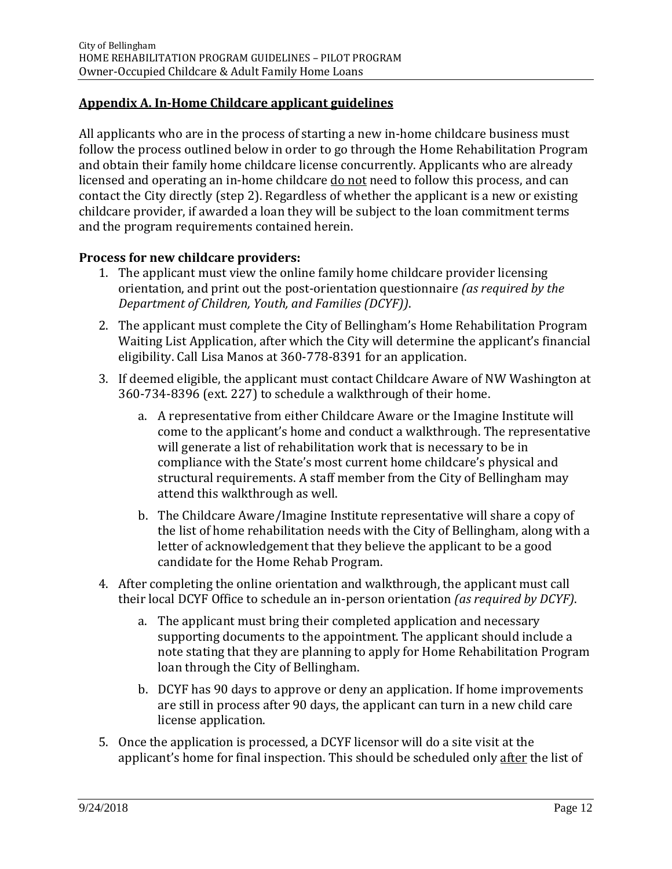# **Appendix A. In-Home Childcare applicant guidelines**

All applicants who are in the process of starting a new in-home childcare business must follow the process outlined below in order to go through the Home Rehabilitation Program and obtain their family home childcare license concurrently. Applicants who are already licensed and operating an in-home childcare do not need to follow this process, and can contact the City directly (step 2). Regardless of whether the applicant is a new or existing childcare provider, if awarded a loan they will be subject to the loan commitment terms and the program requirements contained herein.

#### **Process for new childcare providers:**

- 1. The applicant must view the online family home childcare provider licensing orientation, and print out the post-orientation questionnaire *(as required by the Department of Children, Youth, and Families (DCYF))*.
- 2. The applicant must complete the City of Bellingham's Home Rehabilitation Program Waiting List Application, after which the City will determine the applicant's financial eligibility. Call Lisa Manos at 360-778-8391 for an application.
- 3. If deemed eligible, the applicant must contact Childcare Aware of NW Washington at 360-734-8396 (ext. 227) to schedule a walkthrough of their home.
	- a. A representative from either Childcare Aware or the Imagine Institute will come to the applicant's home and conduct a walkthrough. The representative will generate a list of rehabilitation work that is necessary to be in compliance with the State's most current home childcare's physical and structural requirements. A staff member from the City of Bellingham may attend this walkthrough as well.
	- b. The Childcare Aware/Imagine Institute representative will share a copy of the list of home rehabilitation needs with the City of Bellingham, along with a letter of acknowledgement that they believe the applicant to be a good candidate for the Home Rehab Program.
- 4. After completing the online orientation and walkthrough, the applicant must call their local DCYF Office to schedule an in-person orientation *(as required by DCYF)*.
	- a. The applicant must bring their completed application and necessary supporting documents to the appointment. The applicant should include a note stating that they are planning to apply for Home Rehabilitation Program loan through the City of Bellingham.
	- b. DCYF has 90 days to approve or deny an application. If home improvements are still in process after 90 days, the applicant can turn in a new child care license application.
- 5. Once the application is processed, a DCYF licensor will do a site visit at the applicant's home for final inspection. This should be scheduled only after the list of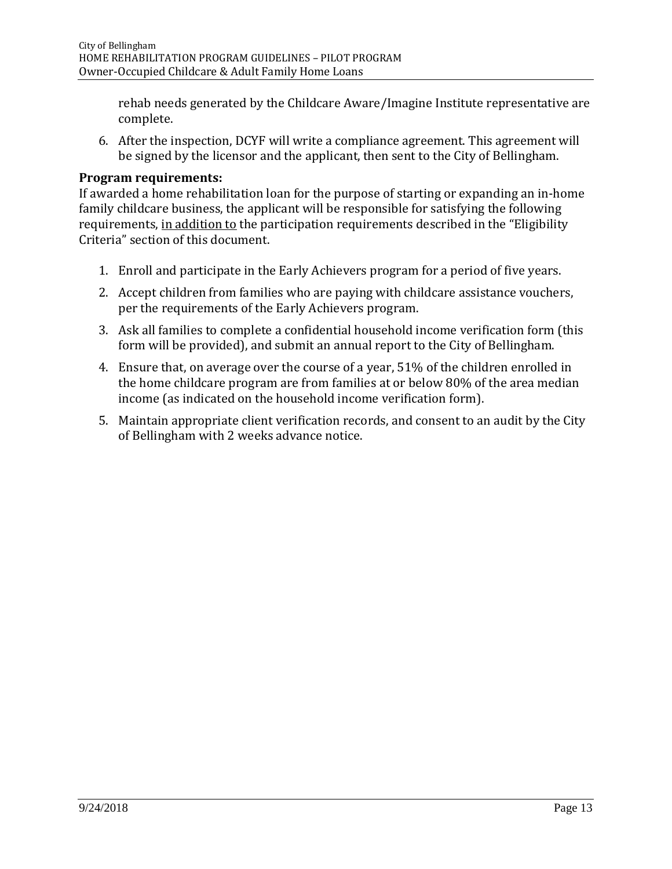rehab needs generated by the Childcare Aware/Imagine Institute representative are complete.

6. After the inspection, DCYF will write a compliance agreement. This agreement will be signed by the licensor and the applicant, then sent to the City of Bellingham.

#### **Program requirements:**

If awarded a home rehabilitation loan for the purpose of starting or expanding an in-home family childcare business, the applicant will be responsible for satisfying the following requirements, in addition to the participation requirements described in the "Eligibility Criteria" section of this document.

- 1. Enroll and participate in the Early Achievers program for a period of five years.
- 2. Accept children from families who are paying with childcare assistance vouchers, per the requirements of the Early Achievers program.
- 3. Ask all families to complete a confidential household income verification form (this form will be provided), and submit an annual report to the City of Bellingham.
- 4. Ensure that, on average over the course of a year, 51% of the children enrolled in the home childcare program are from families at or below 80% of the area median income (as indicated on the household income verification form).
- 5. Maintain appropriate client verification records, and consent to an audit by the City of Bellingham with 2 weeks advance notice.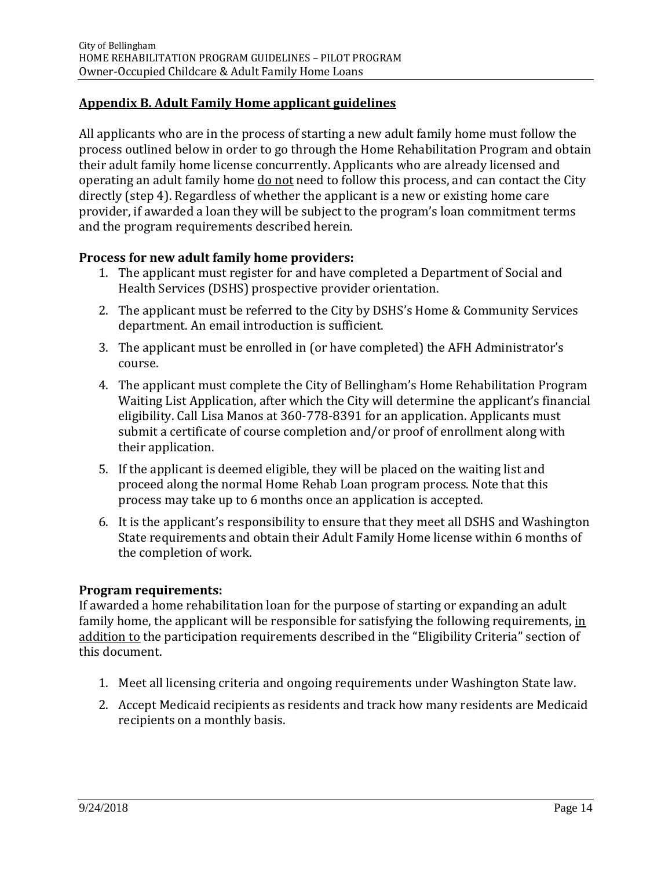# **Appendix B. Adult Family Home applicant guidelines**

All applicants who are in the process of starting a new adult family home must follow the process outlined below in order to go through the Home Rehabilitation Program and obtain their adult family home license concurrently. Applicants who are already licensed and operating an adult family home do not need to follow this process, and can contact the City directly (step 4). Regardless of whether the applicant is a new or existing home care provider, if awarded a loan they will be subject to the program's loan commitment terms and the program requirements described herein.

#### **Process for new adult family home providers:**

- 1. The applicant must register for and have completed a Department of Social and Health Services (DSHS) prospective provider orientation.
- 2. The applicant must be referred to the City by DSHS's Home & Community Services department. An email introduction is sufficient.
- 3. The applicant must be enrolled in (or have completed) the AFH Administrator's course.
- 4. The applicant must complete the City of Bellingham's Home Rehabilitation Program Waiting List Application, after which the City will determine the applicant's financial eligibility. Call Lisa Manos at 360-778-8391 for an application. Applicants must submit a certificate of course completion and/or proof of enrollment along with their application.
- 5. If the applicant is deemed eligible, they will be placed on the waiting list and proceed along the normal Home Rehab Loan program process. Note that this process may take up to 6 months once an application is accepted.
- 6. It is the applicant's responsibility to ensure that they meet all DSHS and Washington State requirements and obtain their Adult Family Home license within 6 months of the completion of work.

#### **Program requirements:**

If awarded a home rehabilitation loan for the purpose of starting or expanding an adult family home, the applicant will be responsible for satisfying the following requirements, in addition to the participation requirements described in the "Eligibility Criteria" section of this document.

- 1. Meet all licensing criteria and ongoing requirements under Washington State law.
- 2. Accept Medicaid recipients as residents and track how many residents are Medicaid recipients on a monthly basis.